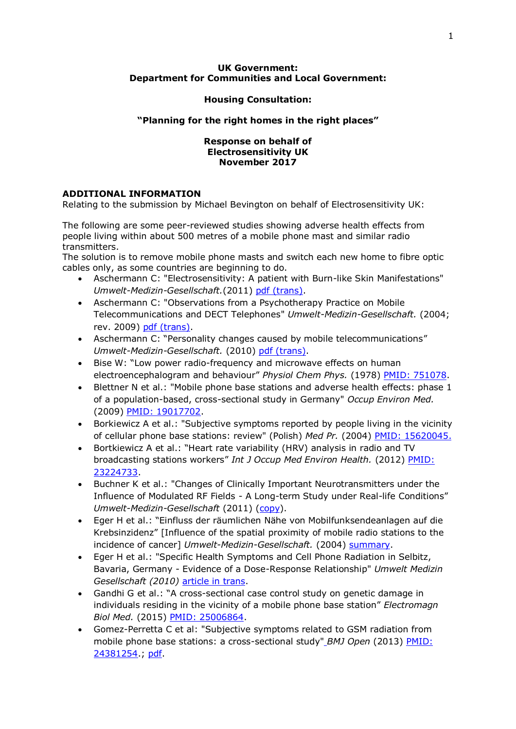### **UK Government: Department for Communities and Local Government:**

## **Housing Consultation:**

# **"Planning for the right homes in the right places"**

#### **Response on behalf of Electrosensitivity UK November 2017**

# **ADDITIONAL INFORMATION**

Relating to the submission by Michael Bevington on behalf of Electrosensitivity UK:

The following are some peer-reviewed studies showing adverse health effects from people living within about 500 metres of a mobile phone mast and similar radio transmitters.

The solution is to remove mobile phone masts and switch each new home to fibre optic cables only, as some countries are beginning to do.

- Aschermann C: "Electrosensitivity: A patient with Burn-like Skin Manifestations" *Umwelt-Medizin-Gesellschaft.*(2011) [pdf \(trans\).](http://media.withtank.com/71ada80e9b/aschermann_electrosensitivity_final_20111.pdf)
- Aschermann C: "Observations from a Psychotherapy Practice on Mobile Telecommunications and DECT Telephones" *Umwelt-Medizin-Gesellschaft.* (2004; rev. 2009) [pdf \(trans\).](http://emfsafetynetwork.org/wp-content/uploads/2009/10/Aschermann2009.pdf)
- Aschermann C: "Personality changes caused by mobile telecommunications" *Umwelt-Medizin-Gesellschaft.* (2010) [pdf \(trans\).](http://www.emfacts.com/2011/04/1379-a-psychiatrists-observations-on-personality-changes-caused-by-mobile-telecommunications/)
- Bise W: "Low power radio-frequency and microwave effects on human electroencephalogram and behaviour" *Physiol Chem Phys.* (1978) [PMID: 751078.](https://www.ncbi.nlm.nih.gov/pubmed/?term=Bise%20W%5BAuthor%5D&cauthor=true&cauthor_uid=751078)
- Blettner N et al.: "Mobile phone base stations and adverse health effects: phase 1 of a population-based, cross-sectional study in Germany" *Occup Environ Med.* (2009) [PMID: 19017702.](http://www.ncbi.nlm.nih.gov/pubmed/?term=19017702)
- Borkiewicz A et al.: "Subjective symptoms reported by people living in the vicinity of cellular phone base stations: review" (Polish) *Med Pr.* (2004) [PMID: 15620045.](http://www.ncbi.nlm.nih.gov/pubmed/15620045)
- Bortkiewicz A et al.: "Heart rate variability (HRV) analysis in radio and TV broadcasting stations workers" *Int J Occup Med Environ Health.* (2012) [PMID:](https://www.ncbi.nlm.nih.gov/pubmed/23224733)  [23224733.](https://www.ncbi.nlm.nih.gov/pubmed/23224733)
- Buchner K et al.: "Changes of Clinically Important Neurotransmitters under the Influence of Modulated RF Fields - A Long-term Study under Real-life Conditions" *Umwelt-Medizin-Gesellschaft* (2011) [\(copy\)](http://www.radiationresearch.org/images/RRT_articles/Buchner%20Eger%20Rimbach%20Study%202011%20ENG%20FINAL%20Revised%2029%20July%202011.pdf).
- Eger H et al.: "Einfluss der räumlichen Nähe von Mobilfunksendeanlagen auf die Krebsinzidenz" [Influence of the spatial proximity of mobile radio stations to the incidence of cancer] *Umwelt-Medizin-Gesellschaft.* (2004) [summary.](http://www.umg-verlag.de/umwelt-medizin-gesellschaft/404_ege.html)
- Eger H et al.: "Specific Health Symptoms and Cell Phone Radiation in Selbitz, Bavaria, Germany - Evidence of a Dose-Response Relationship" *Umwelt Medizin* Gesellschaft (2010) [article in trans.](http://www.next-up.org/pdf/Horst_Eger_Manfred_Jahn_Scientific_Health_Symptoms_and_Cell_Phone_Radiation_in_Selbitz_Germany_2010.pdf)
- Gandhi G et al.: "A cross-sectional case control study on genetic damage in individuals residing in the vicinity of a mobile phone base station" *Electromagn Biol Med.* (2015) [PMID: 25006864.](https://www.ncbi.nlm.nih.gov/pubmed/25006864)
- Gomez-Perretta C et al: "Subjective symptoms related to GSM radiation from mobile phone base stations: a cross-sectional study" *BMJ Open* (2013) [PMID:](http://www.ncbi.nlm.nih.gov/pubmed/24381254)  [24381254.](http://www.ncbi.nlm.nih.gov/pubmed/24381254); [pdf.](https://www.ncbi.nlm.nih.gov/pmc/articles/PMC3885815/pdf/bmjopen-2013-003836.pdf)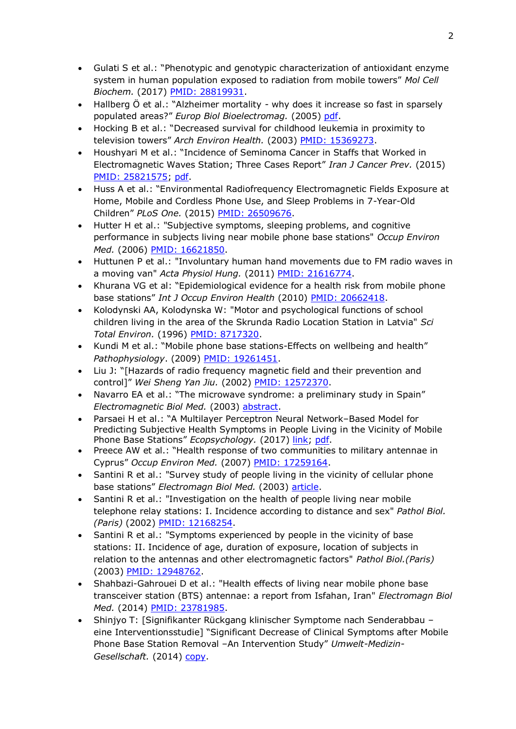- Gulati S et al.: "Phenotypic and genotypic characterization of antioxidant enzyme system in human population exposed to radiation from mobile towers" *Mol Cell Biochem.* (2017) [PMID: 28819931.](https://www.ncbi.nlm.nih.gov/pubmed/28819931)
- Hallberg Ö et al.: "Alzheimer mortality why does it increase so fast in sparsely populated areas?" *Europ Biol Bioelectromag.* (2005) [pdf.](https://www.google.co.uk/url?sa=t&rct=j&q=&esrc=s&source=web&cd=1&cad=rja&uact=8&ved=0ahUKEwiiyK2IvNHVAhVpAcAKHfxXCQcQFggoMAA&url=http%3A%2F%2Fsgll.nu%2FMedPub%2FRef%252013%2520EBB3b.pdf&usg=AFQjCNE7spgRRle2zoOFI7BnEh3Vk3f8bg)
- Hocking B et al.: "Decreased survival for childhood leukemia in proximity to television towers" *Arch Environ Health.* (2003) [PMID: 15369273.](https://www.ncbi.nlm.nih.gov/pubmed/15369273)
- Houshyari M et al.: "Incidence of Seminoma Cancer in Staffs that Worked in Electromagnetic Waves Station; Three Cases Report" *Iran J Cancer Prev.* (2015) [PMID: 25821575;](https://www.ncbi.nlm.nih.gov/pubmed/25821575) [pdf.](https://www.ncbi.nlm.nih.gov/pmc/articles/PMC4360355/pdf/IJCP-08-066.pdf)
- Huss A et al.: "Environmental Radiofrequency Electromagnetic Fields Exposure at Home, Mobile and Cordless Phone Use, and Sleep Problems in 7-Year-Old Children" *PLoS One.* (2015) [PMID: 26509676.](https://www.ncbi.nlm.nih.gov/pubmed/26509676)
- Hutter H et al.: "Subjective symptoms, sleeping problems, and cognitive performance in subjects living near mobile phone base stations" *Occup Environ Med.* (2006) [PMID: 16621850.](http://www.ncbi.nlm.nih.gov/pubmed/16621850)
- Huttunen P et al.: "Involuntary human hand movements due to FM radio waves in a moving van" *Acta Physiol Hung.* (2011) PMID: [21616774.](http://www.ncbi.nlm.nih.gov/pubmed/21616774)
- Khurana VG et al: "Epidemiological evidence for a health risk from mobile phone base stations" *Int J Occup Environ Health* (2010) [PMID: 20662418.](http://www.ncbi.nlm.nih.gov/pubmed/20662418)
- Kolodynski AA, Kolodynska W: "Motor and psychological functions of school children living in the area of the Skrunda Radio Location Station in Latvia" *Sci Total Environ.* (1996) [PMID: 8717320.](http://www.ncbi.nlm.nih.gov/pubmed/8717320)
- Kundi M et al.: "Mobile phone base stations-Effects on wellbeing and health" *Pathophysiology*. (2009) [PMID: 19261451.](https://www.ncbi.nlm.nih.gov/pubmed/19261451)
- Liu J: "[Hazards of radio frequency magnetic field and their prevention and control]" *Wei Sheng Yan Jiu.* (2002) [PMID: 12572370.](https://www.ncbi.nlm.nih.gov/pubmed/12572370)
- Navarro EA et al.: "The microwave syndrome: a preliminary study in Spain" *Electromagnetic Biol Med.* (2003) [abstract.](http://www.tandfonline.com/doi/full/10.1081/JBC-120024625)
- Parsaei H et al.: "A Multilayer Perceptron Neural Network–Based Model for Predicting Subjective Health Symptoms in People Living in the Vicinity of Mobile Phone Base Stations" *Ecopsychology.* (2017) [link;](http://online.liebertpub.com/toc/eco/9/2) [pdf.](http://online.liebertpub.com/doi/pdfplus/10.1089/eco.2017.0011)
- Preece AW et al.: "Health response of two communities to military antennae in Cyprus" *Occup Environ Med.* (2007) [PMID: 17259164.](https://www.ncbi.nlm.nih.gov/pubmed/17259164)
- Santini R et al.: "Survey study of people living in the vicinity of cellular phone base stations" *Electromagn Biol Med.* (2003) [article.](http://ww.wifiinschools.com/uploads/3/0/4/2/3042232/santini_2003.pdf)
- Santini R et al.: "Investigation on the health of people living near mobile telephone relay stations: I. Incidence according to distance and sex" *Pathol Biol. (Paris)* (2002) [PMID: 12168254.](http://www.ncbi.nlm.nih.gov/pubmed/12168254)
- Santini R et al.: "Symptoms experienced by people in the vicinity of base stations: II. Incidence of age, duration of exposure, location of subjects in relation to the antennas and other electromagnetic factors" *Pathol Biol.(Paris)* (2003) [PMID: 12948762.](http://www.ncbi.nlm.nih.gov/pubmed/12948762)
- Shahbazi-Gahrouei D et al.: "Health effects of living near mobile phone base transceiver station (BTS) antennae: a report from Isfahan, Iran" *Electromagn Biol Med.* (2014) [PMID: 23781985.](http://www.ncbi.nlm.nih.gov/pubmed/23781985)
- Shinjyo T: [Signifikanter Rückgang klinischer Symptome nach Senderabbau eine Interventionsstudie] "Significant Decrease of Clinical Symptoms after Mobile Phone Base Station Removal –An Intervention Study" *Umwelt-Medizin-Gesellschaft.* (2014) [copy.](https://elettrosensibili.wordpress.com/2015/10/14/significant-decrease-of-clinical-symptoms-after-mobile-phone-base-station-removal-signifikanter-ruckgang-klinischer-symptome-nach-senderabbau/)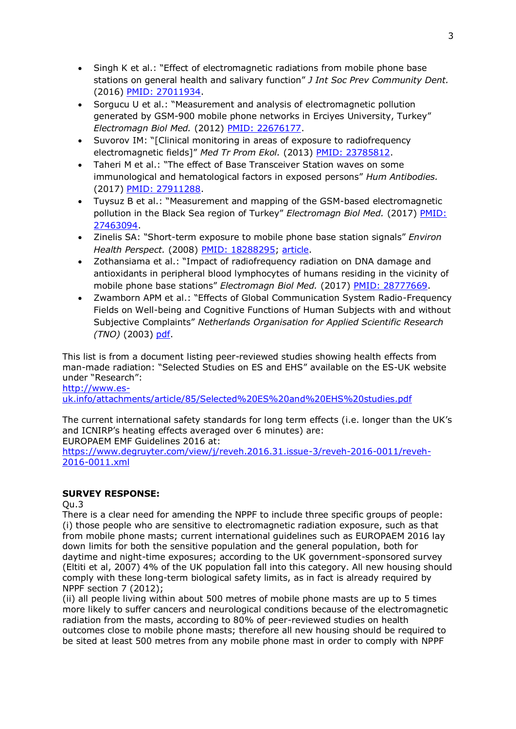- Singh K et al.: "Effect of electromagnetic radiations from mobile phone base stations on general health and salivary function" *J Int Soc Prev Community Dent.* (2016) [PMID: 27011934.](https://www.ncbi.nlm.nih.gov/pubmed/27011934)
- Sorgucu U et al.: "Measurement and analysis of electromagnetic pollution generated by GSM-900 mobile phone networks in Erciyes University, Turkey" *Electromagn Biol Med.* (2012) [PMID: 22676177.](https://www.ncbi.nlm.nih.gov/pubmed/22676177)
- Suvorov IM: "[Clinical monitoring in areas of exposure to radiofrequency electromagnetic fields]" *Med Tr Prom Ekol.* (2013) [PMID: 23785812.](https://www.ncbi.nlm.nih.gov/pubmed/23785812)
- Taheri M et al.: "The effect of Base Transceiver Station waves on some immunological and hematological factors in exposed persons" *Hum Antibodies.* (2017) [PMID: 27911288.](https://www.ncbi.nlm.nih.gov/pubmed/27911288)
- Tuysuz B et al.: "Measurement and mapping of the GSM-based electromagnetic pollution in the Black Sea region of Turkey" *Electromagn Biol Med.* (2017) [PMID:](https://www.ncbi.nlm.nih.gov/pubmed/27463094)  [27463094.](https://www.ncbi.nlm.nih.gov/pubmed/27463094)
- Zinelis SA: "Short-term exposure to mobile phone base station signals" *Environ Health Perspect.* (2008) [PMID: 18288295;](https://www.ncbi.nlm.nih.gov/pubmed/18288295) [article.](https://www.ncbi.nlm.nih.gov/pmc/articles/PMC2235207/)
- Zothansiama et al.: "Impact of radiofrequency radiation on DNA damage and antioxidants in peripheral blood lymphocytes of humans residing in the vicinity of mobile phone base stations" *Electromagn Biol Med.* (2017) [PMID: 28777669.](https://www.ncbi.nlm.nih.gov/pubmed/28777669)
- Zwamborn APM et al.: "Effects of Global Communication System Radio-Frequency Fields on Well-being and Cognitive Functions of Human Subjects with and without Subjective Complaints" *Netherlands Organisation for Applied Scientific Research (TNO)* (2003) [pdf.](http://milieugezondheid.be/dossiers/gsm/TNO_rapport_Nederland_sept_2003.pdf)

This list is from a document listing peer-reviewed studies showing health effects from man-made radiation: "Selected Studies on ES and EHS" available on the ES-UK website under "Research":

[http://www.es-](http://www.es-uk.info/attachments/article/85/Selected%20ES%20and%20EHS%20studies.pdf)

[uk.info/attachments/article/85/Selected%20ES%20and%20EHS%20studies.pdf](http://www.es-uk.info/attachments/article/85/Selected%20ES%20and%20EHS%20studies.pdf)

The current international safety standards for long term effects (i.e. longer than the UK's and ICNIRP's heating effects averaged over 6 minutes) are:

EUROPAEM EMF Guidelines 2016 at:

[https://www.degruyter.com/view/j/reveh.2016.31.issue-3/reveh-2016-0011/reveh-](https://www.degruyter.com/view/j/reveh.2016.31.issue-3/reveh-2016-0011/reveh-2016-0011.xml)[2016-0011.xml](https://www.degruyter.com/view/j/reveh.2016.31.issue-3/reveh-2016-0011/reveh-2016-0011.xml)

### **SURVEY RESPONSE:**

 $O<sub>u.3</sub>$ 

There is a clear need for amending the NPPF to include three specific groups of people: (i) those people who are sensitive to electromagnetic radiation exposure, such as that from mobile phone masts; current international guidelines such as EUROPAEM 2016 lay down limits for both the sensitive population and the general population, both for daytime and night-time exposures; according to the UK government-sponsored survey (Eltiti et al, 2007) 4% of the UK population fall into this category. All new housing should comply with these long-term biological safety limits, as in fact is already required by NPPF section 7 (2012);

(ii) all people living within about 500 metres of mobile phone masts are up to 5 times more likely to suffer cancers and neurological conditions because of the electromagnetic radiation from the masts, according to 80% of peer-reviewed studies on health outcomes close to mobile phone masts; therefore all new housing should be required to be sited at least 500 metres from any mobile phone mast in order to comply with NPPF